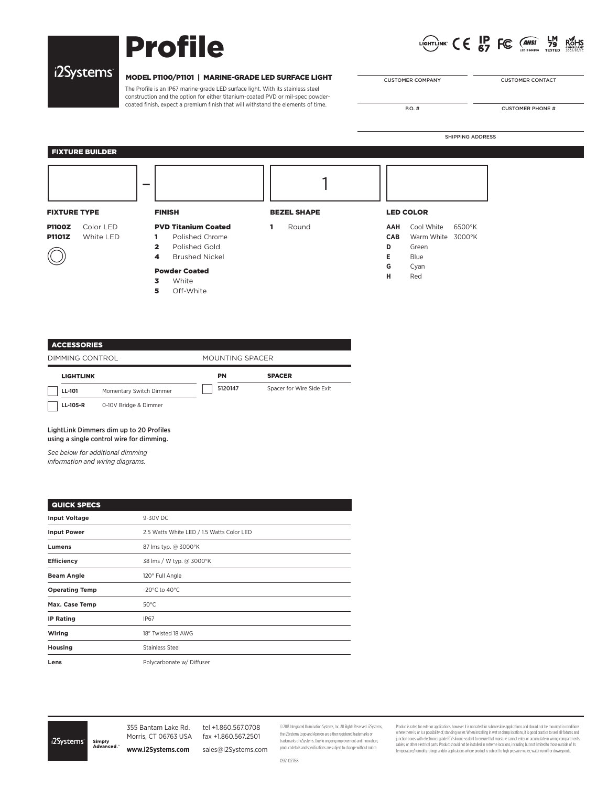# Profile



SHIPPING ADDRESS

# i2Systems<sup>®</sup>

### MODEL P1100/P1101 | MARINE-GRADE LED SURFACE LIGHT

The Profile is an IP67 marine-grade LED surface light. With its stainless steel construction and the option for either titanium-coated PVD or mil-spec powdercoated finish, expect a premium finish that will withstand the elements of time.

| <b>CUSTOMER COMPANY</b> |  |
|-------------------------|--|

CUSTOMER CONTACT

P.O. # CUSTOMER PHONE #

# FIXTURE BUILDER

| <b>FIXTURE TYPE</b> |           | <b>FINISH</b>  |                            | <b>BEZEL SHAPE</b> |       | <b>LED COLOR</b> |                   |        |
|---------------------|-----------|----------------|----------------------------|--------------------|-------|------------------|-------------------|--------|
| <b>P1100Z</b>       | Color LED |                | <b>PVD Titanium Coated</b> | 1                  | Round | AAH              | Cool White        | 6500°K |
| <b>P1101Z</b>       | White LED | 1.             | Polished Chrome            |                    |       | <b>CAB</b>       | Warm White 3000°K |        |
|                     |           | $\overline{2}$ | Polished Gold              |                    |       | D                | Green             |        |
|                     |           | 4              | <b>Brushed Nickel</b>      |                    |       | Е.               | Blue              |        |
|                     |           |                | <b>Powder Coated</b>       |                    |       | G                | Cyan              |        |
|                     |           | 3<br>5         | White<br>Off-White         |                    |       | н                | Red               |        |

| <b>ACCESSORIES</b> |  |
|--------------------|--|
|                    |  |

DIMMING CONTROL MOUNTING SPACER LIGHTLINK PN SPACER 5120147 Spacer for Wire Side Exit $\mathcal{L}$ **LL-101** Momentary Switch Dimmer **LL-105-R** 0-10V Bridge & Dimmer

LightLink Dimmers dim up to 20 Profiles using a single control wire for dimming.

*See below for additional dimming information and wiring diagrams.* 

| <b>QUICK SPECS</b>    |                                           |
|-----------------------|-------------------------------------------|
| <b>Input Voltage</b>  | 9-30V DC                                  |
| <b>Input Power</b>    | 2.5 Watts White LED / 1.5 Watts Color LED |
| Lumens                | 87 lms typ. @ 3000°K                      |
| <b>Efficiency</b>     | 38 lms / W typ. @ 3000°K                  |
| <b>Beam Angle</b>     | 120° Full Angle                           |
| <b>Operating Temp</b> | -20 $^{\circ}$ C to 40 $^{\circ}$ C       |
| Max. Case Temp        | $50^{\circ}$ C                            |
| <b>IP Rating</b>      | <b>IP67</b>                               |
| Wiring                | 18" Twisted 18 AWG                        |
| Housing               | <b>Stainless Steel</b>                    |
| Lens                  | Polycarbonate w/ Diffuser                 |

i2Systems

355 Bantam Lake Rd. Morris, CT 06763 USA Simply<br>Advanced **www.i2Systems.com**

fax +1.860.567.2501 sales@i2Systems.com

tel +1.860.567.0708

© 2013 Integrated Illumination Systems, Inc. All Rights Reserved. i2Systems, the i2Systems Logo and Apeiron are either registered trademarks or trademarks of i2Systems. Due to ongoing improvement and innovation, product details and specifications are subject to change without notice.

Product is rated for exterior applications, however it is not rated for submersible applications and should not be mounted in conditions where there is, or is a possibility of, standing water. When installing in wet or damp locations, it is good practice besal all futures and<br>jundon boxes with electronicy grade RIV slicone esolant to ensure that moristre ca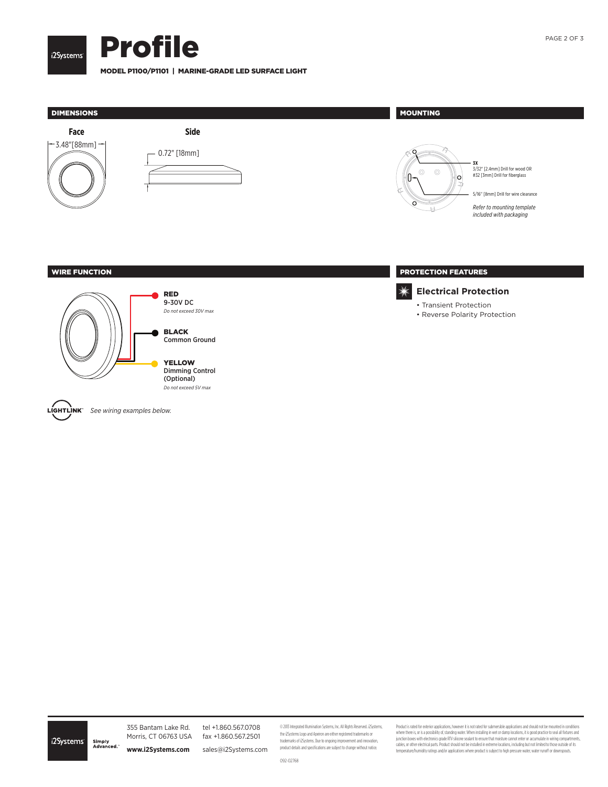



MODEL P1100/P1101 | MARINE-GRADE LED SURFACE LIGHT



tel +1.860.567.0708 fax +1.860.567.2501 sales@i2Systems.com

© 2013 Integrated Illumination Systems, Inc. All Rights Reserved. i2Systems, the i2Systems Logo and Apeiron are either registered trademarks or trademarks of i2Systems. Due to ongoing improvement and innovation, product details and specifications are subject to change without notice.

Product is rated for exterior applications, however it is not rated for submersible applications and should not be mounted in conditions where there is, or is a possibility of, standing water. When installing in wet or damp locations, it is good practice besal all futures and<br>jundon boxes with electronicy grade RIV slikone esplant to ensure that moristre ca